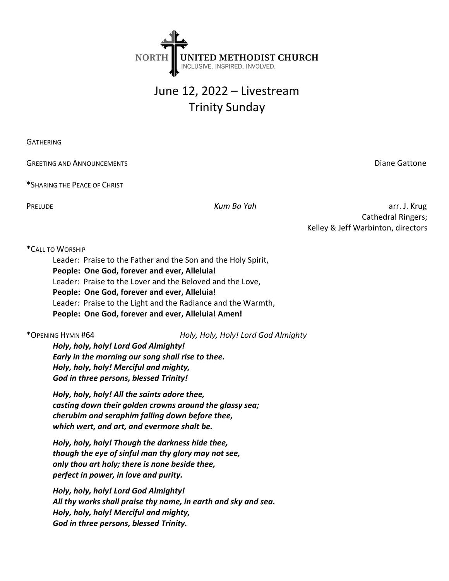

# June 12, 2022 – Livestream Trinity Sunday

**GATHERING** 

GREETING AND ANNOUNCEMENTS **GREETING AND ANNOUNCEMENTS Diane Gattone** 

\*SHARING THE PEACE OF CHRIST

PRELUDE **Kum Ba Yah** arr. J. Krug Cathedral Ringers; Kelley & Jeff Warbinton, directors

## \*CALL TO WORSHIP

Leader: Praise to the Father and the Son and the Holy Spirit, People: One God, forever and ever, Alleluia! Leader: Praise to the Lover and the Beloved and the Love, People: One God, forever and ever, Alleluia! Leader: Praise to the Light and the Radiance and the Warmth, People: One God, forever and ever, Alleluia! Amen!

\*OPENING HYMN #64 Holy, Holy, Holy! Lord God Almighty

Holy, holy, holy! Lord God Almighty! Early in the morning our song shall rise to thee. Holy, holy, holy! Merciful and mighty, God in three persons, blessed Trinity!

Holy, holy, holy! All the saints adore thee, casting down their golden crowns around the glassy sea; cherubim and seraphim falling down before thee, which wert, and art, and evermore shalt be.

Holy, holy, holy! Though the darkness hide thee, though the eye of sinful man thy glory may not see, only thou art holy; there is none beside thee, perfect in power, in love and purity.

Holy, holy, holy! Lord God Almighty! All thy works shall praise thy name, in earth and sky and sea. Holy, holy, holy! Merciful and mighty, God in three persons, blessed Trinity.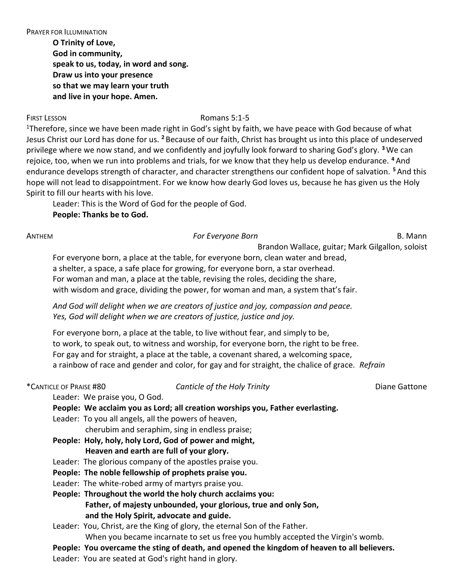PRAYER FOR ILLUMINATION

O Trinity of Love, God in community, speak to us, today, in word and song. Draw us into your presence so that we may learn your truth and live in your hope. Amen.

### FIRST LESSON ROMAN ROMANS 5:1-5

<sup>1</sup>Therefore, since we have been made right in God's sight by faith, we have peace with God because of what Jesus Christ our Lord has done for us. <sup>2</sup> Because of our faith, Christ has brought us into this place of undeserved privilege where we now stand, and we confidently and joyfully look forward to sharing God's glory. <sup>3</sup> We can rejoice, too, when we run into problems and trials, for we know that they help us develop endurance. <sup>4</sup> And endurance develops strength of character, and character strengthens our confident hope of salvation. <sup>5</sup>And this hope will not lead to disappointment. For we know how dearly God loves us, because he has given us the Holy Spirit to fill our hearts with his love.

Leader: This is the Word of God for the people of God. People: Thanks be to God.

### ANTHEM B. Mann Born Born Born Born Born B. Mann B. Mann B. Mann B. Mann B. Mann B. Mann B. Mann B. Mann B. Mann

Brandon Wallace, guitar; Mark Gilgallon, soloist

For everyone born, a place at the table, for everyone born, clean water and bread, a shelter, a space, a safe place for growing, for everyone born, a star overhead. For woman and man, a place at the table, revising the roles, deciding the share, with wisdom and grace, dividing the power, for woman and man, a system that's fair.

And God will delight when we are creators of justice and joy, compassion and peace. Yes, God will delight when we are creators of justice, justice and joy.

For everyone born, a place at the table, to live without fear, and simply to be, to work, to speak out, to witness and worship, for everyone born, the right to be free. For gay and for straight, a place at the table, a covenant shared, a welcoming space, a rainbow of race and gender and color, for gay and for straight, the chalice of grace. Refrain

# \*CANTICLE OF PRAISE #80 Canticle of the Holy Trinity CANTICLE OF PRAISE #80

Leader: We praise you, O God.

People: We acclaim you as Lord; all creation worships you, Father everlasting.

Leader: To you all angels, all the powers of heaven,

cherubim and seraphim, sing in endless praise;

- People: Holy, holy, holy Lord, God of power and might, Heaven and earth are full of your glory.
- Leader: The glorious company of the apostles praise you.
- People: The noble fellowship of prophets praise you.
- Leader: The white-robed army of martyrs praise you.

People: Throughout the world the holy church acclaims you: Father, of majesty unbounded, your glorious, true and only Son, and the Holy Spirit, advocate and guide.

Leader: You, Christ, are the King of glory, the eternal Son of the Father. When you became incarnate to set us free you humbly accepted the Virgin's womb.

# People: You overcame the sting of death, and opened the kingdom of heaven to all believers.

Leader: You are seated at God's right hand in glory.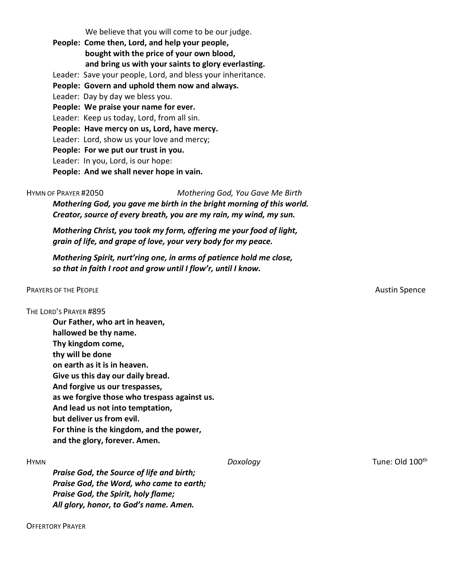We believe that you will come to be our judge.

People: Come then, Lord, and help your people, bought with the price of your own blood, and bring us with your saints to glory everlasting. Leader: Save your people, Lord, and bless your inheritance. People: Govern and uphold them now and always. Leader: Day by day we bless you. People: We praise your name for ever. Leader: Keep us today, Lord, from all sin. People: Have mercy on us, Lord, have mercy. Leader: Lord, show us your love and mercy; People: For we put our trust in you. Leader: In you, Lord, is our hope: People: And we shall never hope in vain.

HYMN OF PRAYER #2050 Mothering God, You Gave Me Birth Mothering God, you gave me birth in the bright morning of this world. Creator, source of every breath, you are my rain, my wind, my sun.

Mothering Christ, you took my form, offering me your food of light, grain of life, and grape of love, your very body for my peace.

Mothering Spirit, nurt'ring one, in arms of patience hold me close, so that in faith I root and grow until I flow'r, until I know.

#### PRAYERS OF THE PEOPLE **Austin Spence** Austin Spence Austin Spence Austin Spence Austin Spence

#### THE LORD'S PRAYER #895

Our Father, who art in heaven, hallowed be thy name. Thy kingdom come, thy will be done on earth as it is in heaven. Give us this day our daily bread. And forgive us our trespasses, as we forgive those who trespass against us. And lead us not into temptation, but deliver us from evil. For thine is the kingdom, and the power, and the glory, forever. Amen.

Praise God, the Source of life and birth; Praise God, the Word, who came to earth; Praise God, the Spirit, holy flame; All glory, honor, to God's name. Amen.

OFFERTORY PRAYER

HYMN Doxology Tune: Old 100th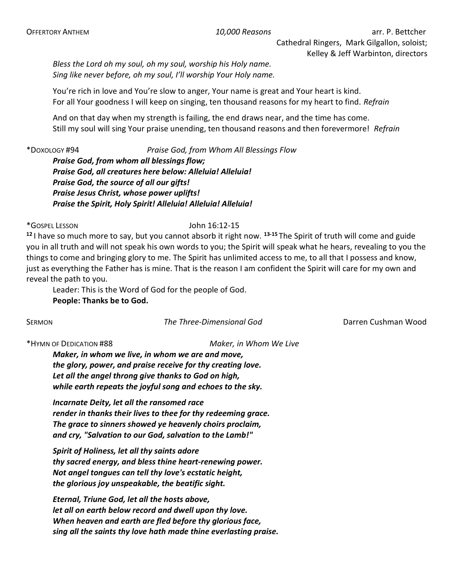Bless the Lord oh my soul, oh my soul, worship his Holy name. Sing like never before, oh my soul, I'll worship Your Holy name.

You're rich in love and You're slow to anger, Your name is great and Your heart is kind. For all Your goodness I will keep on singing, ten thousand reasons for my heart to find. Refrain

And on that day when my strength is failing, the end draws near, and the time has come. Still my soul will sing Your praise unending, ten thousand reasons and then forevermore! Refrain

\*DOXOLOGY #94 Praise God, from Whom All Blessings Flow Praise God, from whom all blessings flow; Praise God, all creatures here below: Alleluia! Alleluia! Praise God, the source of all our gifts! Praise Jesus Christ, whose power uplifts! Praise the Spirit, Holy Spirit! Alleluia! Alleluia! Alleluia!

\*GOSPEL LESSON John 16:12-15

 $12$  I have so much more to say, but you cannot absorb it right now.  $13-15$  The Spirit of truth will come and guide you in all truth and will not speak his own words to you; the Spirit will speak what he hears, revealing to you the things to come and bringing glory to me. The Spirit has unlimited access to me, to all that I possess and know, just as everything the Father has is mine. That is the reason I am confident the Spirit will care for my own and reveal the path to you.

Leader: This is the Word of God for the people of God. People: Thanks be to God.

SERMON **The Three-Dimensional God** Darren Cushman Wood

\*HYMN OF DEDICATION #88 Maker, in Whom We Live

Maker, in whom we live, in whom we are and move, the glory, power, and praise receive for thy creating love. Let all the angel throng give thanks to God on high, while earth repeats the joyful song and echoes to the sky.

Incarnate Deity, let all the ransomed race render in thanks their lives to thee for thy redeeming grace. The grace to sinners showed ye heavenly choirs proclaim, and cry, "Salvation to our God, salvation to the Lamb!"

Spirit of Holiness, let all thy saints adore thy sacred energy, and bless thine heart-renewing power. Not angel tongues can tell thy love's ecstatic height, the glorious joy unspeakable, the beatific sight.

Eternal, Triune God, let all the hosts above, let all on earth below record and dwell upon thy love. When heaven and earth are fled before thy glorious face, sing all the saints thy love hath made thine everlasting praise.